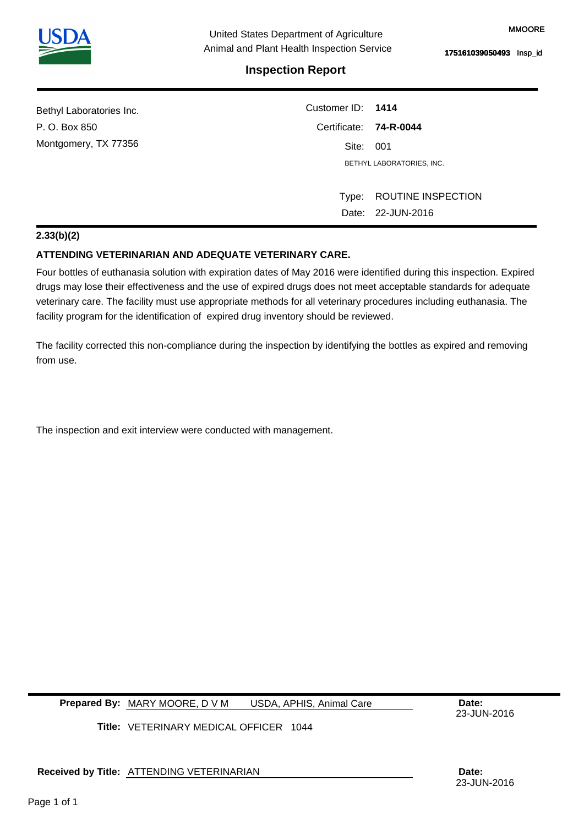## **Inspection Report**

| Bethyl Laboratories Inc. | Customer ID: 1414         |                    |  |
|--------------------------|---------------------------|--------------------|--|
| P. O. Box 850            | Certificate: 74-R-0044    |                    |  |
| Montgomery, TX 77356     | Site: 001                 |                    |  |
|                          | BETHYL LABORATORIES. INC. |                    |  |
|                          |                           |                    |  |
|                          | Type:                     | ROUTINE INSPECTION |  |
|                          |                           | Date: 22-JUN-2016  |  |

## **2.33(b)(2)**

## **ATTENDING VETERINARIAN AND ADEQUATE VETERINARY CARE.**

Four bottles of euthanasia solution with expiration dates of May 2016 were identified during this inspection. Expired drugs may lose their effectiveness and the use of expired drugs does not meet acceptable standards for adequate veterinary care. The facility must use appropriate methods for all veterinary procedures including euthanasia. The facility program for the identification of expired drug inventory should be reviewed.

The facility corrected this non-compliance during the inspection by identifying the bottles as expired and removing from use.

The inspection and exit interview were conducted with management.

**Prepared By: MARY MOORE, D V M USDA, APHIS, Animal Care Care Date:** USDA, APHIS, Animal Care

23-JUN-2016

23-JUN-2016

**Title:**  VETERINARY MEDICAL OFFICER 1044

**Received by Title: Date:**  ATTENDING VETERINARIAN